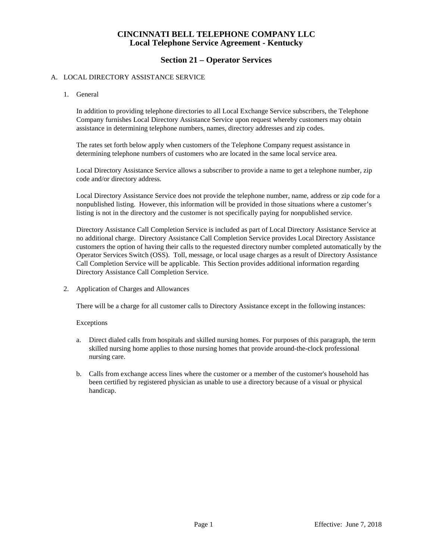### **Section 21 – Operator Services**

#### A. LOCAL DIRECTORY ASSISTANCE SERVICE

1. General

In addition to providing telephone directories to all Local Exchange Service subscribers, the Telephone Company furnishes Local Directory Assistance Service upon request whereby customers may obtain assistance in determining telephone numbers, names, directory addresses and zip codes.

The rates set forth below apply when customers of the Telephone Company request assistance in determining telephone numbers of customers who are located in the same local service area.

Local Directory Assistance Service allows a subscriber to provide a name to get a telephone number, zip code and/or directory address.

Local Directory Assistance Service does not provide the telephone number, name, address or zip code for a nonpublished listing. However, this information will be provided in those situations where a customer's listing is not in the directory and the customer is not specifically paying for nonpublished service.

Directory Assistance Call Completion Service is included as part of Local Directory Assistance Service at no additional charge. Directory Assistance Call Completion Service provides Local Directory Assistance customers the option of having their calls to the requested directory number completed automatically by the Operator Services Switch (OSS). Toll, message, or local usage charges as a result of Directory Assistance Call Completion Service will be applicable. This Section provides additional information regarding Directory Assistance Call Completion Service.

2. Application of Charges and Allowances

There will be a charge for all customer calls to Directory Assistance except in the following instances:

#### Exceptions

- a. Direct dialed calls from hospitals and skilled nursing homes. For purposes of this paragraph, the term skilled nursing home applies to those nursing homes that provide around-the-clock professional nursing care.
- b. Calls from exchange access lines where the customer or a member of the customer's household has been certified by registered physician as unable to use a directory because of a visual or physical handicap.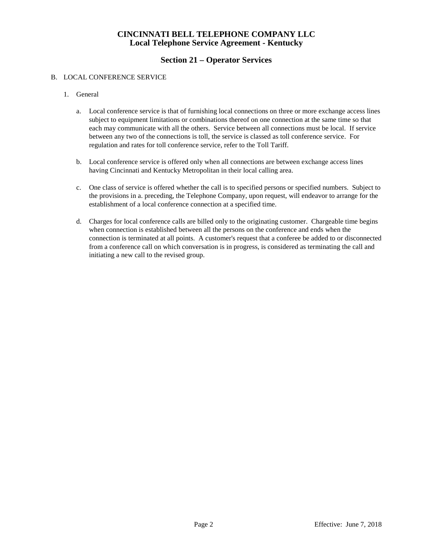# **Section 21 – Operator Services**

#### B. LOCAL CONFERENCE SERVICE

- 1. General
	- a. Local conference service is that of furnishing local connections on three or more exchange access lines subject to equipment limitations or combinations thereof on one connection at the same time so that each may communicate with all the others. Service between all connections must be local. If service between any two of the connections is toll, the service is classed as toll conference service. For regulation and rates for toll conference service, refer to the Toll Tariff.
	- b. Local conference service is offered only when all connections are between exchange access lines having Cincinnati and Kentucky Metropolitan in their local calling area.
	- c. One class of service is offered whether the call is to specified persons or specified numbers. Subject to the provisions in a. preceding, the Telephone Company, upon request, will endeavor to arrange for the establishment of a local conference connection at a specified time.
	- d. Charges for local conference calls are billed only to the originating customer. Chargeable time begins when connection is established between all the persons on the conference and ends when the connection is terminated at all points. A customer's request that a conferee be added to or disconnected from a conference call on which conversation is in progress, is considered as terminating the call and initiating a new call to the revised group.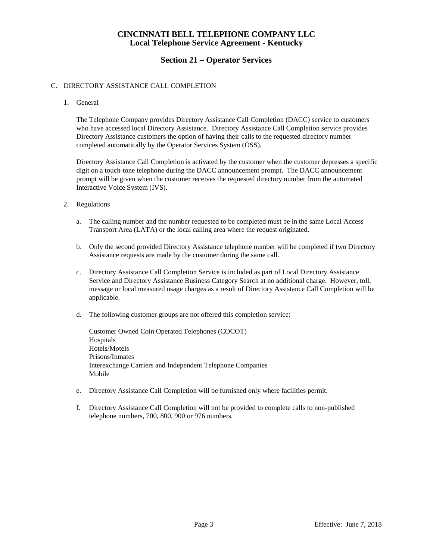## **Section 21 – Operator Services**

#### C. DIRECTORY ASSISTANCE CALL COMPLETION

1. General

The Telephone Company provides Directory Assistance Call Completion (DACC) service to customers who have accessed local Directory Assistance. Directory Assistance Call Completion service provides Directory Assistance customers the option of having their calls to the requested directory number completed automatically by the Operator Services System (OSS).

Directory Assistance Call Completion is activated by the customer when the customer depresses a specific digit on a touch-tone telephone during the DACC announcement prompt. The DACC announcement prompt will be given when the customer receives the requested directory number from the automated Interactive Voice System (IVS).

- 2. Regulations
	- a. The calling number and the number requested to be completed must be in the same Local Access Transport Area (LATA) or the local calling area where the request originated.
	- b. Only the second provided Directory Assistance telephone number will be completed if two Directory Assistance requests are made by the customer during the same call.
	- c. Directory Assistance Call Completion Service is included as part of Local Directory Assistance Service and Directory Assistance Business Category Search at no additional charge. However, toll, message or local measured usage charges as a result of Directory Assistance Call Completion will be applicable.
	- d. The following customer groups are not offered this completion service:

Customer Owned Coin Operated Telephones (COCOT) Hospitals Hotels/Motels Prisons/Inmates Interexchange Carriers and Independent Telephone Companies Mobile

- e. Directory Assistance Call Completion will be furnished only where facilities permit.
- f. Directory Assistance Call Completion will not be provided to complete calls to non-published telephone numbers, 700, 800, 900 or 976 numbers.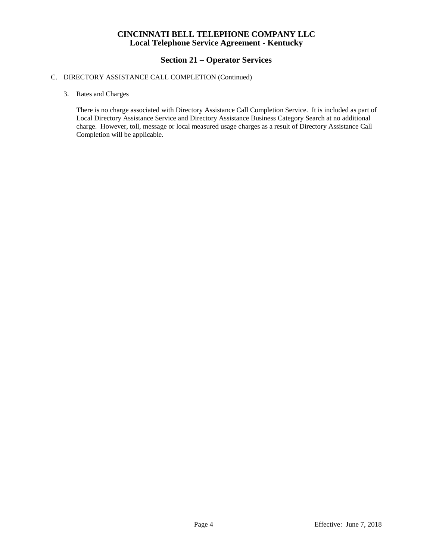### **Section 21 – Operator Services**

#### C. DIRECTORY ASSISTANCE CALL COMPLETION (Continued)

3. Rates and Charges

There is no charge associated with Directory Assistance Call Completion Service. It is included as part of Local Directory Assistance Service and Directory Assistance Business Category Search at no additional charge. However, toll, message or local measured usage charges as a result of Directory Assistance Call Completion will be applicable.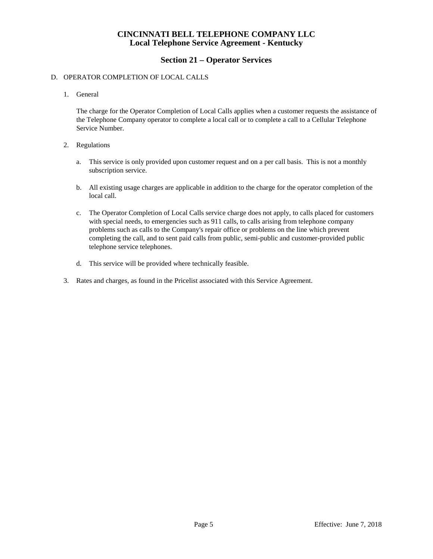## **Section 21 – Operator Services**

#### D. OPERATOR COMPLETION OF LOCAL CALLS

1. General

The charge for the Operator Completion of Local Calls applies when a customer requests the assistance of the Telephone Company operator to complete a local call or to complete a call to a Cellular Telephone Service Number.

- 2. Regulations
	- a. This service is only provided upon customer request and on a per call basis. This is not a monthly subscription service.
	- b. All existing usage charges are applicable in addition to the charge for the operator completion of the local call.
	- c. The Operator Completion of Local Calls service charge does not apply, to calls placed for customers with special needs, to emergencies such as 911 calls, to calls arising from telephone company problems such as calls to the Company's repair office or problems on the line which prevent completing the call, and to sent paid calls from public, semi-public and customer-provided public telephone service telephones.
	- d. This service will be provided where technically feasible.
- 3. Rates and charges, as found in the Pricelist associated with this Service Agreement.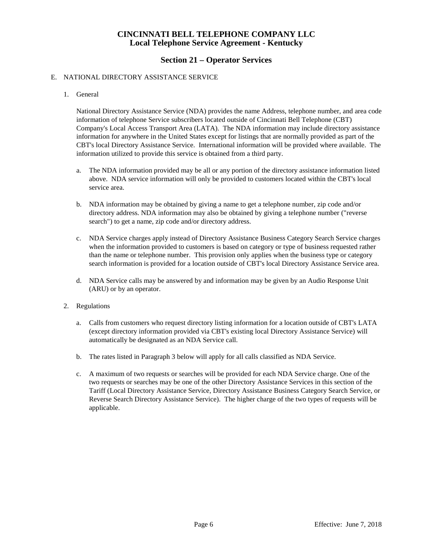## **Section 21 – Operator Services**

#### E. NATIONAL DIRECTORY ASSISTANCE SERVICE

1. General

National Directory Assistance Service (NDA) provides the name Address, telephone number, and area code information of telephone Service subscribers located outside of Cincinnati Bell Telephone (CBT) Company's Local Access Transport Area (LATA). The NDA information may include directory assistance information for anywhere in the United States except for listings that are normally provided as part of the CBT's local Directory Assistance Service. International information will be provided where available. The information utilized to provide this service is obtained from a third party.

- a. The NDA information provided may be all or any portion of the directory assistance information listed above. NDA service information will only be provided to customers located within the CBT's local service area.
- b. NDA information may be obtained by giving a name to get a telephone number, zip code and/or directory address. NDA information may also be obtained by giving a telephone number ("reverse search") to get a name, zip code and/or directory address.
- c. NDA Service charges apply instead of Directory Assistance Business Category Search Service charges when the information provided to customers is based on category or type of business requested rather than the name or telephone number. This provision only applies when the business type or category search information is provided for a location outside of CBT's local Directory Assistance Service area.
- d. NDA Service calls may be answered by and information may be given by an Audio Response Unit (ARU) or by an operator.
- 2. Regulations
	- a. Calls from customers who request directory listing information for a location outside of CBT's LATA (except directory information provided via CBT's existing local Directory Assistance Service) will automatically be designated as an NDA Service call.
	- b. The rates listed in Paragraph 3 below will apply for all calls classified as NDA Service.
	- c. A maximum of two requests or searches will be provided for each NDA Service charge. One of the two requests or searches may be one of the other Directory Assistance Services in this section of the Tariff (Local Directory Assistance Service, Directory Assistance Business Category Search Service, or Reverse Search Directory Assistance Service). The higher charge of the two types of requests will be applicable.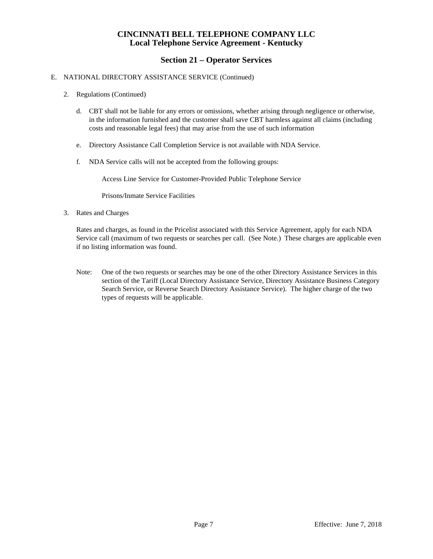## **Section 21 – Operator Services**

#### E. NATIONAL DIRECTORY ASSISTANCE SERVICE (Continued)

- 2. Regulations (Continued)
	- d. CBT shall not be liable for any errors or omissions, whether arising through negligence or otherwise, in the information furnished and the customer shall save CBT harmless against all claims (including costs and reasonable legal fees) that may arise from the use of such information
	- e. Directory Assistance Call Completion Service is not available with NDA Service.
	- f. NDA Service calls will not be accepted from the following groups:

Access Line Service for Customer-Provided Public Telephone Service

Prisons/Inmate Service Facilities

3. Rates and Charges

Rates and charges, as found in the Pricelist associated with this Service Agreement, apply for each NDA Service call (maximum of two requests or searches per call. (See Note.) These charges are applicable even if no listing information was found.

Note: One of the two requests or searches may be one of the other Directory Assistance Services in this section of the Tariff (Local Directory Assistance Service, Directory Assistance Business Category Search Service, or Reverse Search Directory Assistance Service). The higher charge of the two types of requests will be applicable.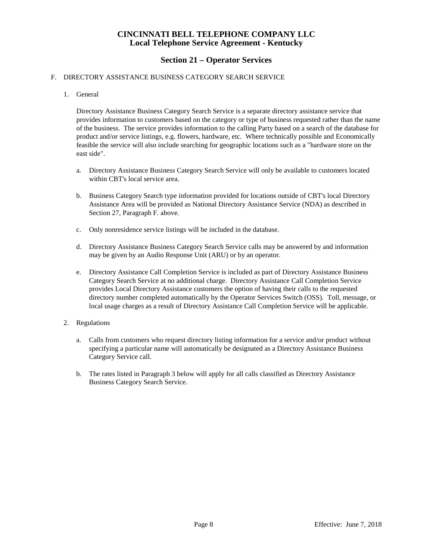## **Section 21 – Operator Services**

#### F. DIRECTORY ASSISTANCE BUSINESS CATEGORY SEARCH SERVICE

#### 1. General

Directory Assistance Business Category Search Service is a separate directory assistance service that provides information to customers based on the category or type of business requested rather than the name of the business. The service provides information to the calling Party based on a search of the database for product and/or service listings, e.g. flowers, hardware, etc. Where technically possible and Economically feasible the service will also include searching for geographic locations such as a "hardware store on the east side".

- a. Directory Assistance Business Category Search Service will only be available to customers located within CBT's local service area.
- b. Business Category Search type information provided for locations outside of CBT's local Directory Assistance Area will be provided as National Directory Assistance Service (NDA) as described in Section 27, Paragraph F. above.
- c. Only nonresidence service listings will be included in the database.
- d. Directory Assistance Business Category Search Service calls may be answered by and information may be given by an Audio Response Unit (ARU) or by an operator.
- e. Directory Assistance Call Completion Service is included as part of Directory Assistance Business Category Search Service at no additional charge. Directory Assistance Call Completion Service provides Local Directory Assistance customers the option of having their calls to the requested directory number completed automatically by the Operator Services Switch (OSS). Toll, message, or local usage charges as a result of Directory Assistance Call Completion Service will be applicable.
- 2. Regulations
	- a. Calls from customers who request directory listing information for a service and/or product without specifying a particular name will automatically be designated as a Directory Assistance Business Category Service call.
	- b. The rates listed in Paragraph 3 below will apply for all calls classified as Directory Assistance Business Category Search Service.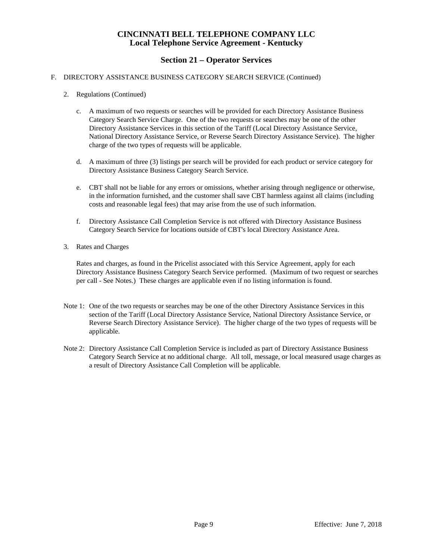# **Section 21 – Operator Services**

#### F. DIRECTORY ASSISTANCE BUSINESS CATEGORY SEARCH SERVICE (Continued)

- 2. Regulations (Continued)
	- c. A maximum of two requests or searches will be provided for each Directory Assistance Business Category Search Service Charge. One of the two requests or searches may be one of the other Directory Assistance Services in this section of the Tariff (Local Directory Assistance Service, National Directory Assistance Service, or Reverse Search Directory Assistance Service). The higher charge of the two types of requests will be applicable.
	- d. A maximum of three (3) listings per search will be provided for each product or service category for Directory Assistance Business Category Search Service.
	- e. CBT shall not be liable for any errors or omissions, whether arising through negligence or otherwise, in the information furnished, and the customer shall save CBT harmless against all claims (including costs and reasonable legal fees) that may arise from the use of such information.
	- f. Directory Assistance Call Completion Service is not offered with Directory Assistance Business Category Search Service for locations outside of CBT's local Directory Assistance Area.
- 3. Rates and Charges

Rates and charges, as found in the Pricelist associated with this Service Agreement, apply for each Directory Assistance Business Category Search Service performed. (Maximum of two request or searches per call - See Notes.) These charges are applicable even if no listing information is found.

- Note 1: One of the two requests or searches may be one of the other Directory Assistance Services in this section of the Tariff (Local Directory Assistance Service, National Directory Assistance Service, or Reverse Search Directory Assistance Service). The higher charge of the two types of requests will be applicable.
- Note 2: Directory Assistance Call Completion Service is included as part of Directory Assistance Business Category Search Service at no additional charge. All toll, message, or local measured usage charges as a result of Directory Assistance Call Completion will be applicable.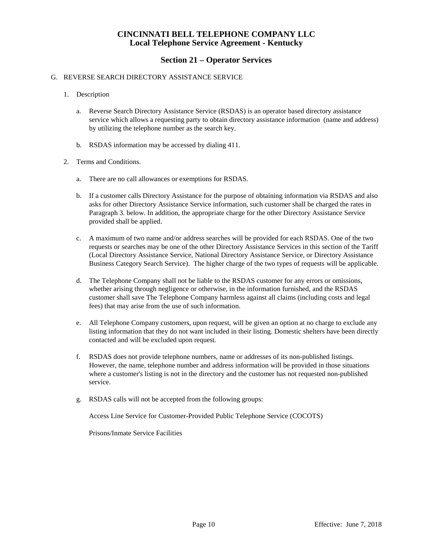### **Section 21 – Operator Services**

#### G. REVERSE SEARCH DIRECTORY ASSISTANCE SERVICE

- 1. Description
	- a. Reverse Search Directory Assistance Service (RSDAS) is an operator based directory assistance service which allows a requesting party to obtain directory assistance information (name and address) by utilizing the telephone number as the search key.
	- b. RSDAS information may be accessed by dialing 411.
- 2. Terms and Conditions.
	- a. There are no call allowances or exemptions for RSDAS.
	- b. If a customer calls Directory Assistance for the purpose of obtaining information via RSDAS and also asks for other Directory Assistance Service information, such customer shall be charged the rates in Paragraph 3. below. In addition, the appropriate charge for the other Directory Assistance Service provided shall be applied.
	- c. A maximum of two name and/or address searches will be provided for each RSDAS. One of the two requests or searches may be one of the other Directory Assistance Services in this section of the Tariff (Local Directory Assistance Service, National Directory Assistance Service, or Directory Assistance Business Category Search Service). The higher charge of the two types of requests will be applicable.
	- d. The Telephone Company shall not be liable to the RSDAS customer for any errors or omissions, whether arising through negligence or otherwise, in the information furnished, and the RSDAS customer shall save The Telephone Company harmless against all claims (including costs and legal fees) that may arise from the use of such information.
	- e. All Telephone Company customers, upon request, will be given an option at no charge to exclude any listing information that they do not want included in their listing. Domestic shelters have been directly contacted and will be excluded upon request.
	- f. RSDAS does not provide telephone numbers, name or addresses of its non-published listings. However, the name, telephone number and address information will be provided in those situations where a customer's listing is not in the directory and the customer has not requested non-published service.
	- g. RSDAS calls will not be accepted from the following groups:

Access Line Service for Customer-Provided Public Telephone Service (COCOTS)

Prisons/Inmate Service Facilities